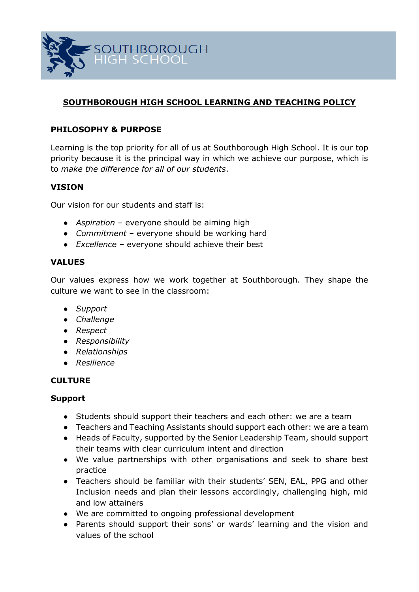

# **SOUTHBOROUGH HIGH SCHOOL LEARNING AND TEACHING POLICY**

### **PHILOSOPHY & PURPOSE**

Learning is the top priority for all of us at Southborough High School. It is our top priority because it is the principal way in which we achieve our purpose, which is to *make the difference for all of our students*.

#### **VISION**

Our vision for our students and staff is:

- *Aspiration* everyone should be aiming high
- *Commitment*  everyone should be working hard
- *Excellence*  everyone should achieve their best

#### **VALUES**

Our values express how we work together at Southborough. They shape the culture we want to see in the classroom:

- *Support*
- *Challenge*
- *Respect*
- *Responsibility*
- *Relationships*
- *Resilience*

#### **CULTURE**

#### **Support**

- Students should support their teachers and each other: we are a team
- Teachers and Teaching Assistants should support each other: we are a team
- Heads of Faculty, supported by the Senior Leadership Team, should support their teams with clear curriculum intent and direction
- We value partnerships with other organisations and seek to share best practice
- Teachers should be familiar with their students' SEN, EAL, PPG and other Inclusion needs and plan their lessons accordingly, challenging high, mid and low attainers
- We are committed to ongoing professional development
- Parents should support their sons' or wards' learning and the vision and values of the school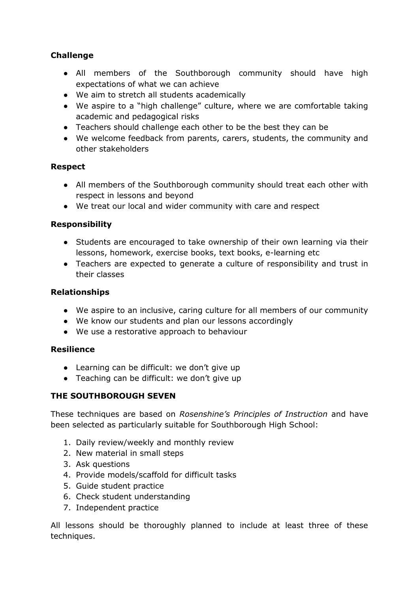# **Challenge**

- All members of the Southborough community should have high expectations of what we can achieve
- We aim to stretch all students academically
- We aspire to a "high challenge" culture, where we are comfortable taking academic and pedagogical risks
- Teachers should challenge each other to be the best they can be
- We welcome feedback from parents, carers, students, the community and other stakeholders

### **Respect**

- All members of the Southborough community should treat each other with respect in lessons and beyond
- We treat our local and wider community with care and respect

# **Responsibility**

- Students are encouraged to take ownership of their own learning via their lessons, homework, exercise books, text books, e-learning etc
- Teachers are expected to generate a culture of responsibility and trust in their classes

### **Relationships**

- We aspire to an inclusive, caring culture for all members of our community
- We know our students and plan our lessons accordingly
- We use a restorative approach to behaviour

#### **Resilience**

- Learning can be difficult: we don't give up
- Teaching can be difficult: we don't give up

# **THE SOUTHBOROUGH SEVEN**

These techniques are based on *Rosenshine's Principles of Instruction* and have been selected as particularly suitable for Southborough High School:

- 1. Daily review/weekly and monthly review
- 2. New material in small steps
- 3. Ask questions
- 4. Provide models/scaffold for difficult tasks
- 5. Guide student practice
- 6. Check student understanding
- 7. Independent practice

All lessons should be thoroughly planned to include at least three of these techniques.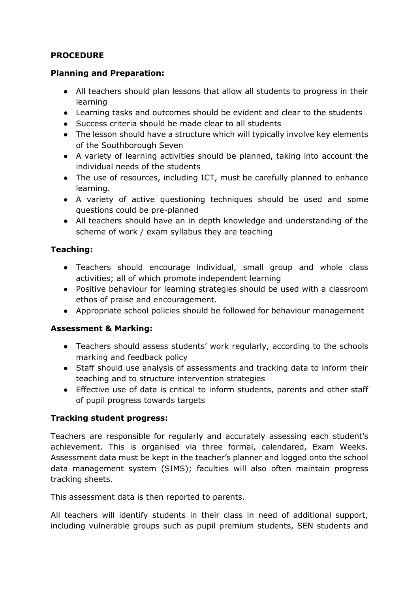# **PROCEDURE**

#### **Planning and Preparation:**

- All teachers should plan lessons that allow all students to progress in their learning
- Learning tasks and outcomes should be evident and clear to the students
- Success criteria should be made clear to all students
- The lesson should have a structure which will typically involve key elements of the Southborough Seven
- A variety of learning activities should be planned, taking into account the individual needs of the students
- The use of resources, including ICT, must be carefully planned to enhance learning.
- A variety of active questioning techniques should be used and some questions could be pre-planned
- All teachers should have an in depth knowledge and understanding of the scheme of work / exam syllabus they are teaching

# **Teaching:**

- Teachers should encourage individual, small group and whole class activities; all of which promote independent learning
- Positive behaviour for learning strategies should be used with a classroom ethos of praise and encouragement.
- Appropriate school policies should be followed for behaviour management

# **Assessment & Marking:**

- Teachers should assess students' work regularly, according to the schools marking and feedback policy
- Staff should use analysis of assessments and tracking data to inform their teaching and to structure intervention strategies
- Effective use of data is critical to inform students, parents and other staff of pupil progress towards targets

# **Tracking student progress:**

Teachers are responsible for regularly and accurately assessing each student's achievement. This is organised via three formal, calendared, Exam Weeks. Assessment data must be kept in the teacher's planner and logged onto the school data management system (SIMS); faculties will also often maintain progress tracking sheets.

This assessment data is then reported to parents.

All teachers will identify students in their class in need of additional support, including vulnerable groups such as pupil premium students, SEN students and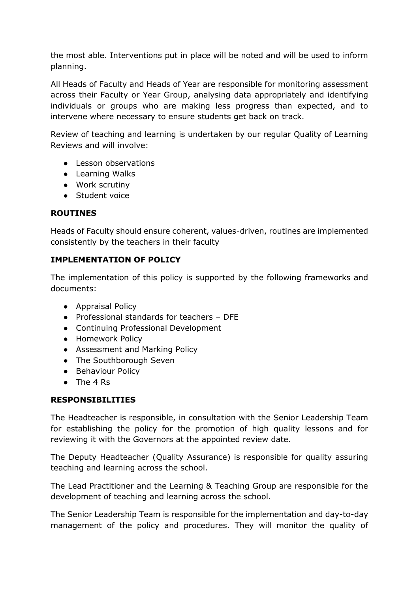the most able. Interventions put in place will be noted and will be used to inform planning.

All Heads of Faculty and Heads of Year are responsible for monitoring assessment across their Faculty or Year Group, analysing data appropriately and identifying individuals or groups who are making less progress than expected, and to intervene where necessary to ensure students get back on track.

Review of teaching and learning is undertaken by our regular Quality of Learning Reviews and will involve:

- Lesson observations
- Learning Walks
- Work scrutiny
- Student voice

### **ROUTINES**

Heads of Faculty should ensure coherent, values-driven, routines are implemented consistently by the teachers in their faculty

# **IMPLEMENTATION OF POLICY**

The implementation of this policy is supported by the following frameworks and documents:

- Appraisal Policy
- Professional standards for teachers DFE
- Continuing Professional Development
- Homework Policy
- Assessment and Marking Policy
- The Southborough Seven
- Behaviour Policy
- $\bullet$  The 4 Rs

#### **RESPONSIBILITIES**

The Headteacher is responsible, in consultation with the Senior Leadership Team for establishing the policy for the promotion of high quality lessons and for reviewing it with the Governors at the appointed review date.

The Deputy Headteacher (Quality Assurance) is responsible for quality assuring teaching and learning across the school.

The Lead Practitioner and the Learning & Teaching Group are responsible for the development of teaching and learning across the school.

The Senior Leadership Team is responsible for the implementation and day-to-day management of the policy and procedures. They will monitor the quality of